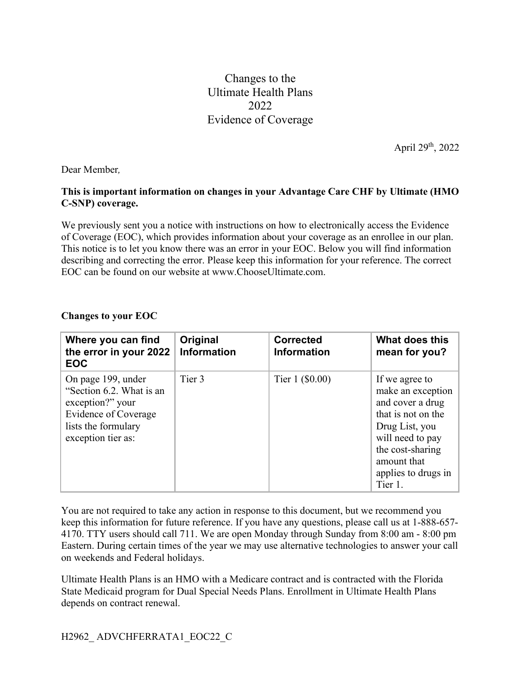## Changes to the Ultimate Health Plans 2022 Evidence of Coverage

April 29th, 2022

Dear Member*,*

## **This is important information on changes in your Advantage Care CHF by Ultimate (HMO C-SNP) coverage.**

We previously sent you a notice with instructions on how to electronically access the Evidence of Coverage (EOC), which provides information about your coverage as an enrollee in our plan. This notice is to let you know there was an error in your EOC. Below you will find information describing and correcting the error. Please keep this information for your reference. The correct EOC can be found on our website at www.ChooseUltimate.com.

## **Changes to your EOC**

| Where you can find<br>the error in your 2022<br><b>EOC</b>                                                                                     | Original<br><b>Information</b> | <b>Corrected</b><br><b>Information</b> | What does this<br>mean for you?                                                                                                                                                          |
|------------------------------------------------------------------------------------------------------------------------------------------------|--------------------------------|----------------------------------------|------------------------------------------------------------------------------------------------------------------------------------------------------------------------------------------|
| On page 199, under<br>"Section 6.2. What is an<br>exception?" your<br><b>Evidence of Coverage</b><br>lists the formulary<br>exception tier as: | Tier 3                         | Tier $1$ (\$0.00)                      | If we agree to<br>make an exception<br>and cover a drug<br>that is not on the<br>Drug List, you<br>will need to pay<br>the cost-sharing<br>amount that<br>applies to drugs in<br>Tier 1. |

You are not required to take any action in response to this document, but we recommend you keep this information for future reference. If you have any questions, please call us at 1-888-657- 4170. TTY users should call 711. We are open Monday through Sunday from 8:00 am - 8:00 pm Eastern. During certain times of the year we may use alternative technologies to answer your call on weekends and Federal holidays.

Ultimate Health Plans is an HMO with a Medicare contract and is contracted with the Florida State Medicaid program for Dual Special Needs Plans. Enrollment in Ultimate Health Plans depends on contract renewal.